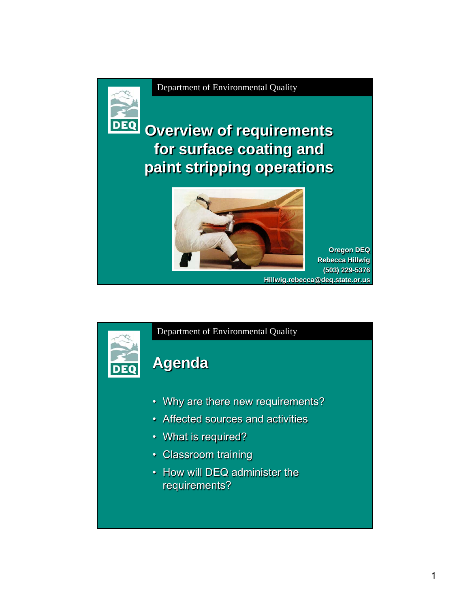

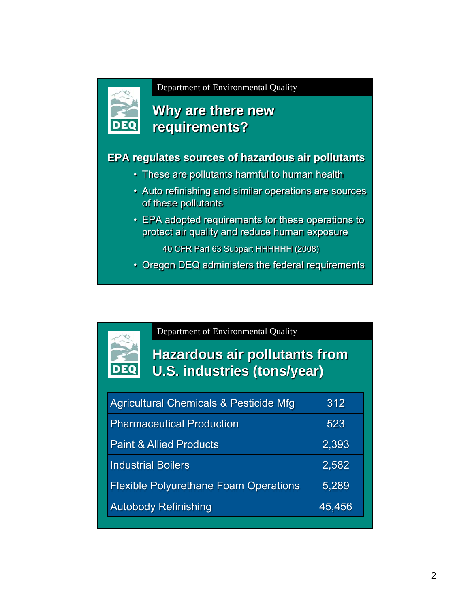

### **Why are there new requirements?**

#### **EPA regulates sources of hazardous air pollutants**

- These are pollutants harmful to human health
- Auto refinishing and similar operations are sources of these pollutants
- EPA adopted requirements for these operations to protect air quality and reduce human exposure
	- 40 CFR Part 63 Subpart HHHHHH (2008)
- Oregon DEQ administers the federal requirements

Department of Environmental Quality

# **Hazardous air pollutants from U.S. industries (tons/year)**

| Agricultural Chemicals & Pesticide Mfg       | 312    |
|----------------------------------------------|--------|
| <b>Pharmaceutical Production</b>             | 523    |
| <b>Paint &amp; Allied Products</b>           | 2,393  |
| <b>Industrial Boilers</b>                    | 2,582  |
| <b>Flexible Polyurethane Foam Operations</b> | 5,289  |
| <b>Autobody Refinishing</b>                  | 45,456 |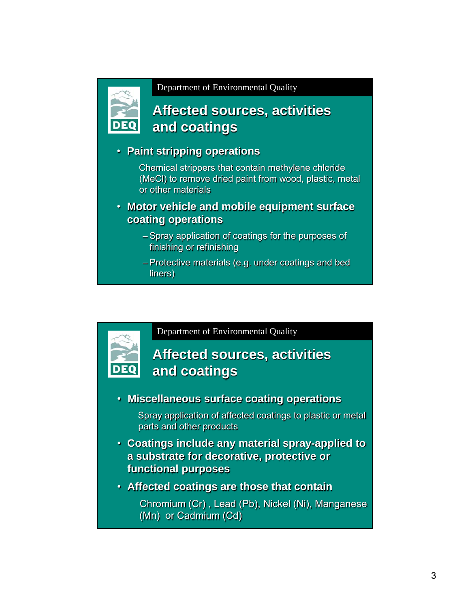

### **Affected sources, activities and coatings**

#### • **Paint stripping operations**

Chemical strippers that contain methylene chloride (MeCl) to remove dried paint from wood, plastic, metal or other materials

- **Motor vehicle and mobile equipment surface coating operations**
	- Spray application of coatings for the purposes of finishing or refinishing
	- Protective materials (e.g. under coatings and bed liners)

Department of Environmental Quality

### **Affected sources, activities and coatings**

• **Miscellaneous surface coating operations**

Spray application of affected coatings to plastic or metal parts and other products

- **Coatings include any material spray-applied to a substrate for decorative, protective or functional purposes**
- **Affected coatings are those that contain**

Chromium (Cr) , Lead (Pb), Nickel (Ni), Manganese (Mn) or Cadmium (Cd)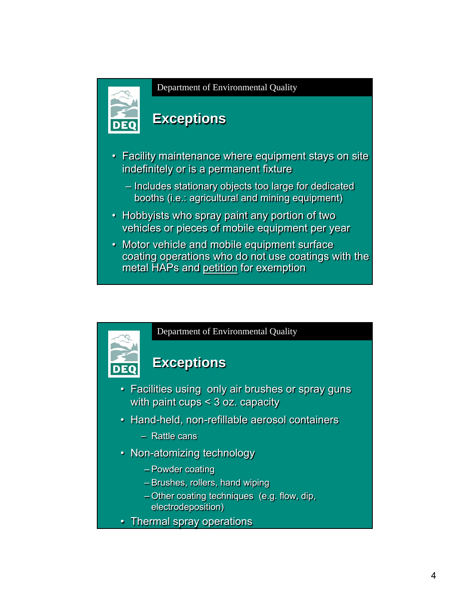

### **Exceptions**

- Facility maintenance where equipment stays on site indefinitely or is a permanent fixture
	- Includes stationary objects too large for dedicated booths (i.e.: agricultural and mining equipment)
- Hobbyists who spray paint any portion of two vehicles or pieces of mobile equipment per year
- Motor vehicle and mobile equipment surface coating operations who do not use coatings with the metal HAPs and petition for exemption



- Powder coating
- Brushes, rollers, hand wiping
- Other coating techniques (e.g. flow, dip, electrodeposition)
- Thermal spray operations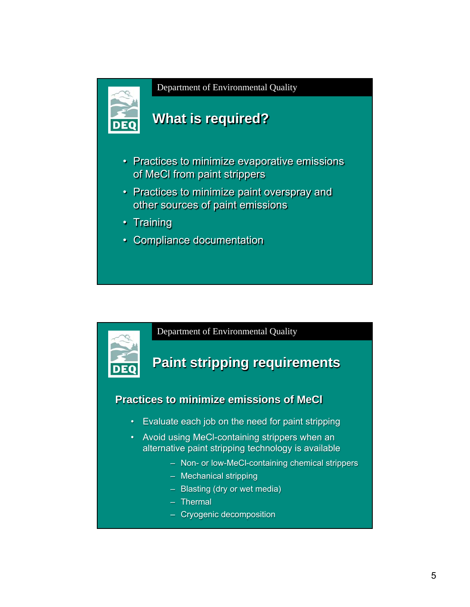

### **What is required?**

- Practices to minimize evaporative emissions of MeCl from paint strippers
- Practices to minimize paint overspray and other sources of paint emissions
- Training
- Compliance documentation

Department of Environmental Quality

### **Paint stripping requirements**

#### **Practices to minimize emissions of MeCl**

- Evaluate each job on the need for paint stripping
- Avoid using MeCl-containing strippers when an alternative paint stripping technology is available
	- Non- or low-MeCl-containing chemical strippers
	- Mechanical stripping
	- Blasting (dry or wet media)
	- Thermal
	- Cryogenic decomposition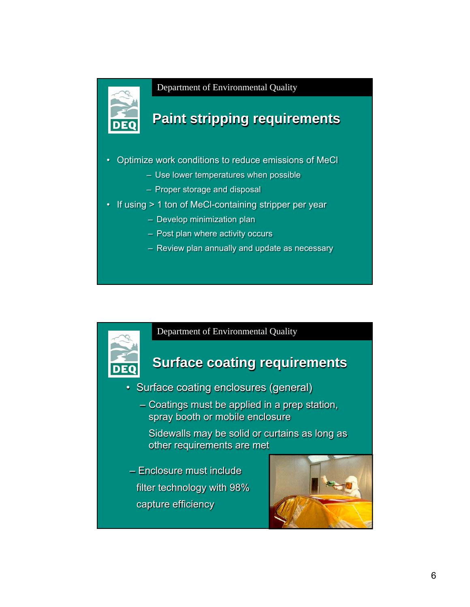

# **Paint stripping requirements**

- Optimize work conditions to reduce emissions of MeCl
	- Use lower temperatures when possible
	- Proper storage and disposal
- If using > 1 ton of MeCl-containing stripper per year
	- Develop minimization plan
	- Post plan where activity occurs
	- Review plan annually and update as necessary

#### Department of Environmental Quality

### **Surface coating requirements**

- Surface coating enclosures (general)
	- Coatings must be applied in a prep station, spray booth or mobile enclosure

Sidewalls may be solid or curtains as long as other requirements are met

– Enclosure must include filter technology with 98% capture efficiency

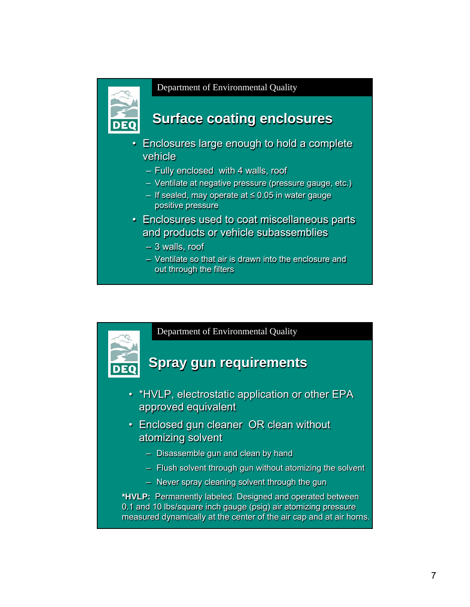

### **Surface coating enclosures**

- Enclosures large enough to hold a complete vehicle
	- Fully enclosed with 4 walls, roof
	- Ventilate at negative pressure (pressure gauge, etc.)
	- If sealed, may operate at ≤ 0.05 in water gauge positive pressure
- Enclosures used to coat miscellaneous parts and products or vehicle subassemblies
	- 3 walls, roof
	- Ventilate so that air is drawn into the enclosure and out through the filters

Department of Environmental Quality

### **Spray gun requirements**

- \*HVLP, electrostatic application or other EPA approved equivalent
- Enclosed gun cleaner OR clean without atomizing solvent
	- Disassemble gun and clean by hand
	- Flush solvent through gun without atomizing the solvent
	- Never spray cleaning solvent through the gun

**\*HVLP:** Permanently labeled. Designed and operated between 0.1 and 10 lbs/square inch gauge (psig) air atomizing pressure measured dynamically at the center of the air cap and at air horns.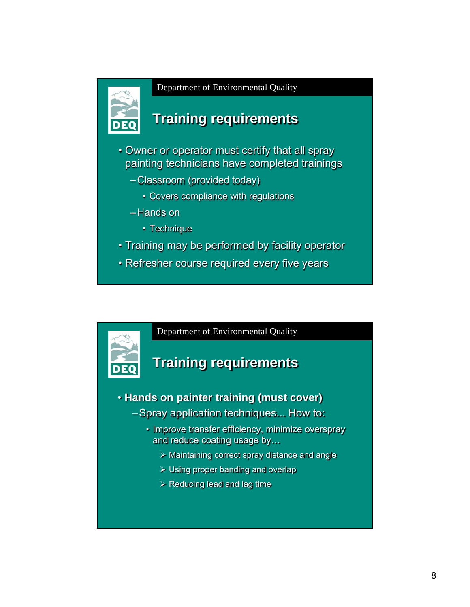

# **Training requirements**

- Owner or operator must certify that all spray painting technicians have completed trainings
	- –Classroom (provided today)
		- Covers compliance with regulations
	- –Hands on
		- Technique
- Training may be performed by facility operator
- Refresher course required every five years

Department of Environmental Quality

### **Training requirements**

- **Hands on painter training (must cover)** –Spray application techniques... How to:
	- Improve transfer efficiency, minimize overspray and reduce coating usage by…
		- $\triangleright$  Maintaining correct spray distance and angle
		- $\triangleright$  Using proper banding and overlap
		- $\triangleright$  Reducing lead and lag time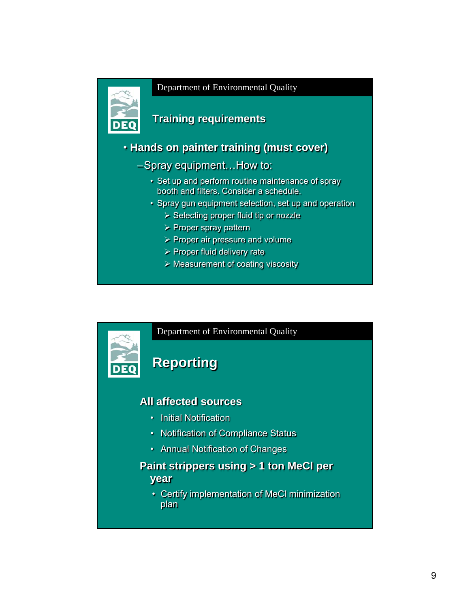

#### **Training requirements**

• **Hands on painter training (must cover)**

- –Spray equipment…How to:
	- Set up and perform routine maintenance of spray booth and filters. Consider a schedule.
	- Spray gun equipment selection, set up and operation
		- $\triangleright$  Selecting proper fluid tip or nozzle
		- $\triangleright$  Proper spray pattern
		- $\triangleright$  Proper air pressure and volume
		- $\triangleright$  Proper fluid delivery rate
		- $\triangleright$  Measurement of coating viscosity

# Department of Environmental Quality **Reporting All affected sources** • Initial Notification • Notification of Compliance Status • Annual Notification of Changes **Paint strippers using > 1 ton MeCl per year** • Certify implementation of MeCl minimization plan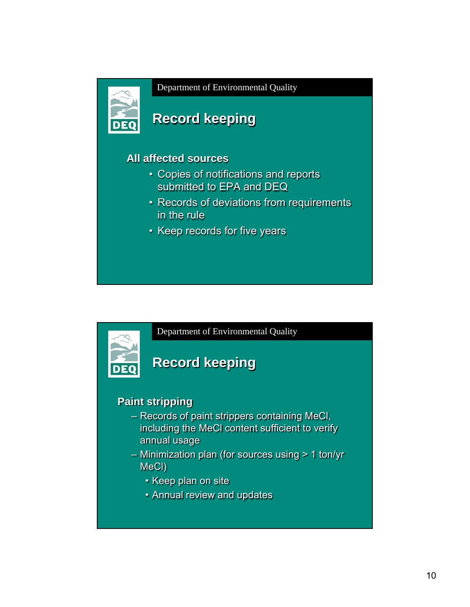

# **Record keeping**

#### **All affected sources**

- Copies of notifications and reports submitted to EPA and DEQ
- Records of deviations from requirements in the rule
- Keep records for five years

Department of Environmental Quality

# **Record keeping**

### **Paint stripping**

- Records of paint strippers containing MeCl, including the MeCl content sufficient to verify annual usage
- Minimization plan (for sources using > 1 ton/yr MeCl)
	- Keep plan on site
	- Annual review and updates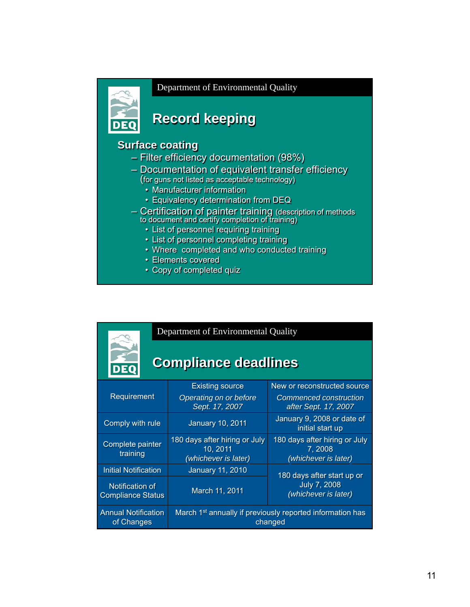

**DEC** 

#### Department of Environmental Quality

# **Record keeping**

#### **Surface coating**

- Filter efficiency documentation (98%)
- Documentation of equivalent transfer efficiency
	- (for guns not listed as acceptable technology)
		- Manufacturer information
		- Equivalency determination from DEQ
- Certification of painter training (description of methods to document and certify completion of training)
	- List of personnel requiring training
	- List of personnel completing training
	- Where completed and who conducted training
	- Elements covered
	- Copy of completed quiz

| Department of Environmental Quality |
|-------------------------------------|
|                                     |

### **Compliance deadlines**

| Requirement                                 | <b>Existing source</b><br>Operating on or before<br>Sept. 17, 2007               | New or reconstructed source<br>Commenced construction<br>after Sept. 17, 2007 |
|---------------------------------------------|----------------------------------------------------------------------------------|-------------------------------------------------------------------------------|
| Comply with rule                            | <b>January 10, 2011</b>                                                          | January 9, 2008 or date of<br>initial start up                                |
| Complete painter<br>training                | 180 days after hiring or July<br>10, 2011<br>(whichever is later)                | 180 days after hiring or July<br>7,2008<br>(whichever is later)               |
| Initial Notification                        | <b>January 11, 2010</b>                                                          | 180 days after start up or<br><b>July 7, 2008</b><br>(whichever is later)     |
| Notification of<br><b>Compliance Status</b> | March 11, 2011                                                                   |                                                                               |
| <b>Annual Notification</b><br>of Changes    | March 1 <sup>st</sup> annually if previously reported information has<br>changed |                                                                               |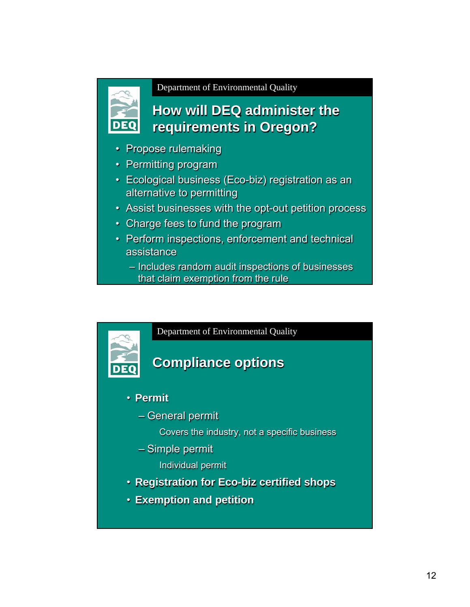

### **How will DEQ administer the requirements in Oregon?**

- Propose rulemaking
- Permitting program
- Ecological business (Eco-biz) registration as an alternative to permitting
- Assist businesses with the opt-out petition process
- Charge fees to fund the program
- Perform inspections, enforcement and technical assistance
	- Includes random audit inspections of businesses that claim exemption from the rule



- **Registration for Eco-biz certified shops**
- **Exemption and petition**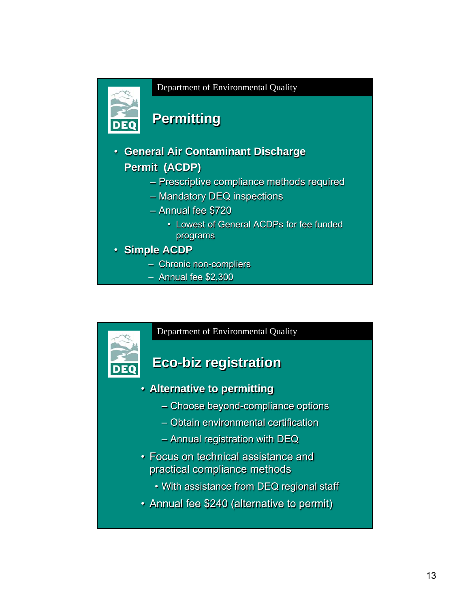

# **Permitting**

- **General Air Contaminant Discharge Permit (ACDP)**
	- Prescriptive compliance methods required
	- Mandatory DEQ inspections
	- Annual fee \$720
		- Lowest of General ACDPs for fee funded programs
- **Simple ACDP**

DI EO

- Chronic non-compliers
- Annual fee \$2,300

#### Department of Environmental Quality

### **Eco-biz registration**

- **Alternative to permitting**
	- Choose beyond-compliance options
	- Obtain environmental certification
	- Annual registration with DEQ
- Focus on technical assistance and practical compliance methods
	- With assistance from DEQ regional staff
- Annual fee \$240 (alternative to permit)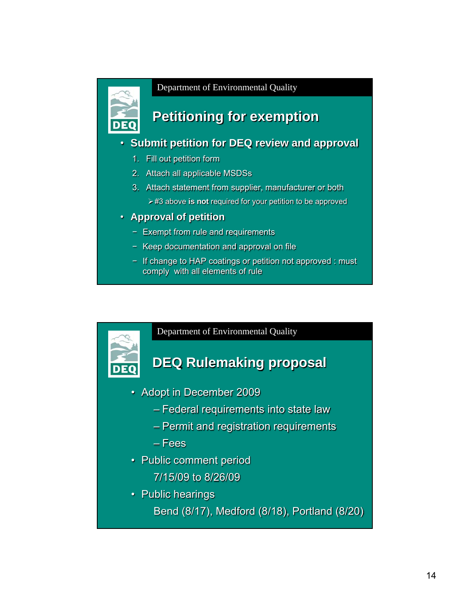

# **Petitioning for exemption**

#### • **Submit petition for DEQ review and approval**

- 1. Fill out petition form
- 2. Attach all applicable MSDSs
- 3. Attach statement from supplier, manufacturer or both ¾#3 above **is not** required for your petition to be approved
- **Approval of petition**
	- − Exempt from rule and requirements
	- − Keep documentation and approval on file
	- − If change to HAP coatings or petition not approved : must comply with all elements of rule

Department of Environmental Quality

### **DEQ Rulemaking proposal**

- Adopt in December 2009
	- Federal requirements into state law
	- Permit and registration requirements
	- Fees
- Public comment period
	- 7/15/09 to 8/26/09
- Public hearings

Bend (8/17), Medford (8/18), Portland (8/20)